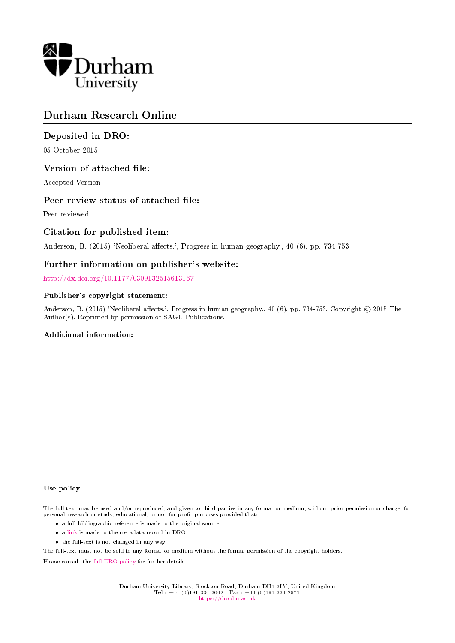

# Durham Research Online

### Deposited in DRO:

05 October 2015

#### Version of attached file:

Accepted Version

#### Peer-review status of attached file:

Peer-reviewed

### Citation for published item:

Anderson, B. (2015) 'Neoliberal affects.', Progress in human geography., 40 (6). pp. 734-753.

#### Further information on publisher's website:

<http://dx.doi.org/10.1177/0309132515613167>

#### Publisher's copyright statement:

Anderson, B. (2015) 'Neoliberal affects.', Progress in human geography., 40 (6). pp. 734-753. Copyright © 2015 The Author(s). Reprinted by permission of SAGE Publications.

#### Additional information:

#### Use policy

The full-text may be used and/or reproduced, and given to third parties in any format or medium, without prior permission or charge, for personal research or study, educational, or not-for-profit purposes provided that:

- a full bibliographic reference is made to the original source
- a [link](http://dro.dur.ac.uk/16490/) is made to the metadata record in DRO
- the full-text is not changed in any way

The full-text must not be sold in any format or medium without the formal permission of the copyright holders.

Please consult the [full DRO policy](https://dro.dur.ac.uk/policies/usepolicy.pdf) for further details.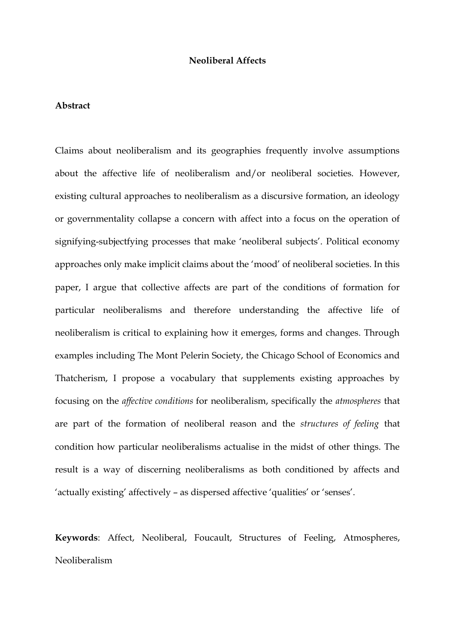#### **Neoliberal Affects**

#### **Abstract**

Claims about neoliberalism and its geographies frequently involve assumptions about the affective life of neoliberalism and/or neoliberal societies. However, existing cultural approaches to neoliberalism as a discursive formation, an ideology or governmentality collapse a concern with affect into a focus on the operation of signifying-subjectfying processes that make 'neoliberal subjects'. Political economy approaches only make implicit claims about the 'mood' of neoliberal societies. In this paper, I argue that collective affects are part of the conditions of formation for particular neoliberalisms and therefore understanding the affective life of neoliberalism is critical to explaining how it emerges, forms and changes. Through examples including The Mont Pelerin Society, the Chicago School of Economics and Thatcherism, I propose a vocabulary that supplements existing approaches by focusing on the *affective conditions* for neoliberalism, specifically the *atmospheres* that are part of the formation of neoliberal reason and the *structures of feeling* that condition how particular neoliberalisms actualise in the midst of other things. The result is a way of discerning neoliberalisms as both conditioned by affects and 'actually existing' affectively – as dispersed affective 'qualities' or 'senses'.

**Keywords**: Affect, Neoliberal, Foucault, Structures of Feeling, Atmospheres, Neoliberalism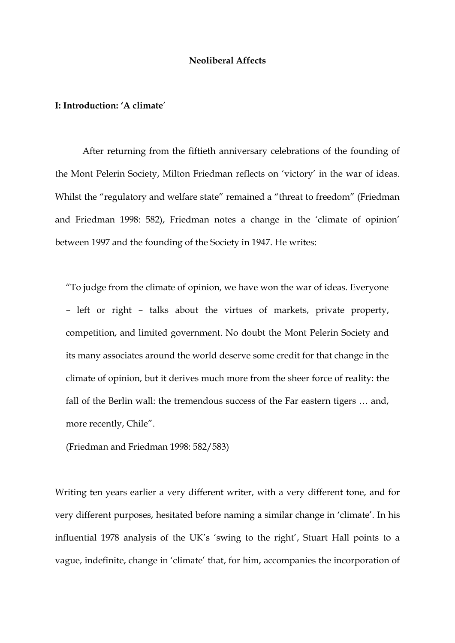#### **Neoliberal Affects**

#### **I: Introduction: 'A climate**'

After returning from the fiftieth anniversary celebrations of the founding of the Mont Pelerin Society, Milton Friedman reflects on 'victory' in the war of ideas. Whilst the "regulatory and welfare state" remained a "threat to freedom" (Friedman and Friedman 1998: 582), Friedman notes a change in the 'climate of opinion' between 1997 and the founding of the Society in 1947. He writes:

"To judge from the climate of opinion, we have won the war of ideas. Everyone – left or right – talks about the virtues of markets, private property, competition, and limited government. No doubt the Mont Pelerin Society and its many associates around the world deserve some credit for that change in the climate of opinion, but it derives much more from the sheer force of reality: the fall of the Berlin wall: the tremendous success of the Far eastern tigers … and, more recently, Chile".

(Friedman and Friedman 1998: 582/583)

Writing ten years earlier a very different writer, with a very different tone, and for very different purposes, hesitated before naming a similar change in 'climate'. In his influential 1978 analysis of the UK's 'swing to the right', Stuart Hall points to a vague, indefinite, change in 'climate' that, for him, accompanies the incorporation of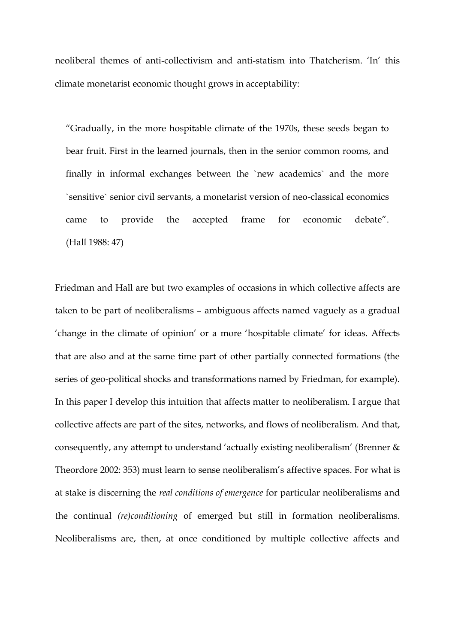neoliberal themes of anti-collectivism and anti-statism into Thatcherism. 'In' this climate monetarist economic thought grows in acceptability:

"Gradually, in the more hospitable climate of the 1970s, these seeds began to bear fruit. First in the learned journals, then in the senior common rooms, and finally in informal exchanges between the `new academics` and the more `sensitive` senior civil servants, a monetarist version of neo-classical economics came to provide the accepted frame for economic debate". (Hall 1988: 47)

Friedman and Hall are but two examples of occasions in which collective affects are taken to be part of neoliberalisms – ambiguous affects named vaguely as a gradual 'change in the climate of opinion' or a more 'hospitable climate' for ideas. Affects that are also and at the same time part of other partially connected formations (the series of geo-political shocks and transformations named by Friedman, for example). In this paper I develop this intuition that affects matter to neoliberalism. I argue that collective affects are part of the sites, networks, and flows of neoliberalism. And that, consequently, any attempt to understand 'actually existing neoliberalism' (Brenner & Theordore 2002: 353) must learn to sense neoliberalism's affective spaces. For what is at stake is discerning the *real conditions of emergence* for particular neoliberalisms and the continual *(re)conditioning* of emerged but still in formation neoliberalisms. Neoliberalisms are, then, at once conditioned by multiple collective affects and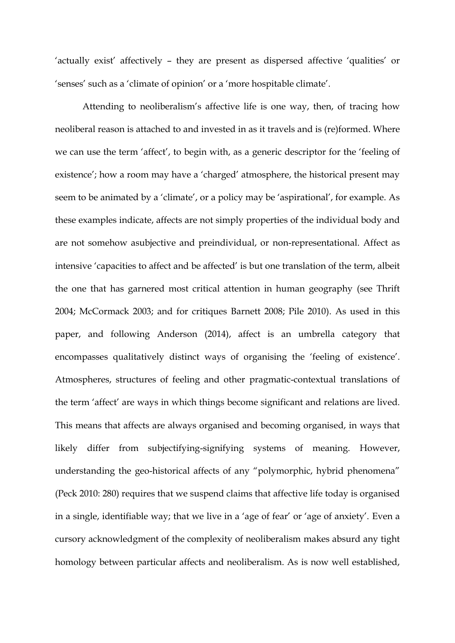'actually exist' affectively – they are present as dispersed affective 'qualities' or 'senses' such as a 'climate of opinion' or a 'more hospitable climate'.

Attending to neoliberalism's affective life is one way, then, of tracing how neoliberal reason is attached to and invested in as it travels and is (re)formed. Where we can use the term 'affect', to begin with, as a generic descriptor for the 'feeling of existence'; how a room may have a 'charged' atmosphere, the historical present may seem to be animated by a 'climate', or a policy may be 'aspirational', for example. As these examples indicate, affects are not simply properties of the individual body and are not somehow asubjective and preindividual, or non-representational. Affect as intensive 'capacities to affect and be affected' is but one translation of the term, albeit the one that has garnered most critical attention in human geography (see Thrift 2004; McCormack 2003; and for critiques Barnett 2008; Pile 2010). As used in this paper, and following Anderson (2014), affect is an umbrella category that encompasses qualitatively distinct ways of organising the 'feeling of existence'. Atmospheres, structures of feeling and other pragmatic-contextual translations of the term 'affect' are ways in which things become significant and relations are lived. This means that affects are always organised and becoming organised, in ways that likely differ from subjectifying-signifying systems of meaning. However, understanding the geo-historical affects of any "polymorphic, hybrid phenomena" (Peck 2010: 280) requires that we suspend claims that affective life today is organised in a single, identifiable way; that we live in a 'age of fear' or 'age of anxiety'. Even a cursory acknowledgment of the complexity of neoliberalism makes absurd any tight homology between particular affects and neoliberalism. As is now well established,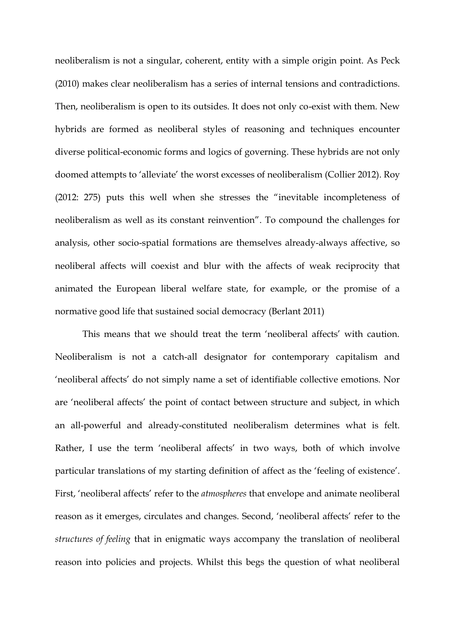neoliberalism is not a singular, coherent, entity with a simple origin point. As Peck (2010) makes clear neoliberalism has a series of internal tensions and contradictions. Then, neoliberalism is open to its outsides. It does not only co-exist with them. New hybrids are formed as neoliberal styles of reasoning and techniques encounter diverse political-economic forms and logics of governing. These hybrids are not only doomed attempts to 'alleviate' the worst excesses of neoliberalism (Collier 2012). Roy (2012: 275) puts this well when she stresses the "inevitable incompleteness of neoliberalism as well as its constant reinvention". To compound the challenges for analysis, other socio-spatial formations are themselves already-always affective, so neoliberal affects will coexist and blur with the affects of weak reciprocity that animated the European liberal welfare state, for example, or the promise of a normative good life that sustained social democracy (Berlant 2011)

This means that we should treat the term 'neoliberal affects' with caution. Neoliberalism is not a catch-all designator for contemporary capitalism and 'neoliberal affects' do not simply name a set of identifiable collective emotions. Nor are 'neoliberal affects' the point of contact between structure and subject, in which an all-powerful and already-constituted neoliberalism determines what is felt. Rather, I use the term 'neoliberal affects' in two ways, both of which involve particular translations of my starting definition of affect as the 'feeling of existence'. First, 'neoliberal affects' refer to the *atmospheres* that envelope and animate neoliberal reason as it emerges, circulates and changes. Second, 'neoliberal affects' refer to the *structures of feeling* that in enigmatic ways accompany the translation of neoliberal reason into policies and projects. Whilst this begs the question of what neoliberal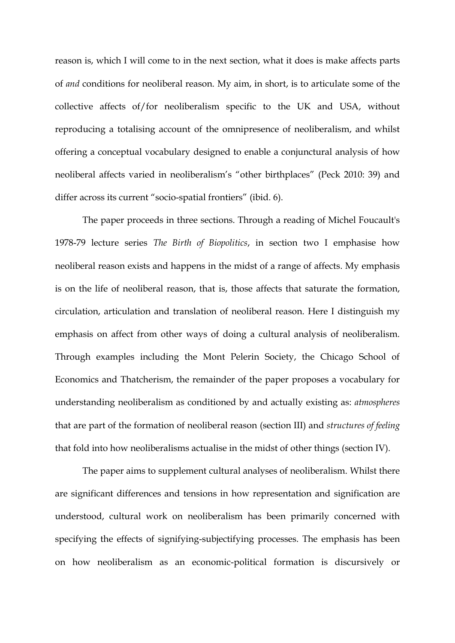reason is, which I will come to in the next section, what it does is make affects parts of *and* conditions for neoliberal reason. My aim, in short, is to articulate some of the collective affects of/for neoliberalism specific to the UK and USA, without reproducing a totalising account of the omnipresence of neoliberalism, and whilst offering a conceptual vocabulary designed to enable a conjunctural analysis of how neoliberal affects varied in neoliberalism's "other birthplaces" (Peck 2010: 39) and differ across its current "socio-spatial frontiers" (ibid. 6).

The paper proceeds in three sections. Through a reading of Michel Foucault's 1978-79 lecture series *The Birth of Biopolitics*, in section two I emphasise how neoliberal reason exists and happens in the midst of a range of affects. My emphasis is on the life of neoliberal reason, that is, those affects that saturate the formation, circulation, articulation and translation of neoliberal reason. Here I distinguish my emphasis on affect from other ways of doing a cultural analysis of neoliberalism. Through examples including the Mont Pelerin Society, the Chicago School of Economics and Thatcherism, the remainder of the paper proposes a vocabulary for understanding neoliberalism as conditioned by and actually existing as: *atmospheres* that are part of the formation of neoliberal reason (section III) and *structures of feeling* that fold into how neoliberalisms actualise in the midst of other things (section IV).

The paper aims to supplement cultural analyses of neoliberalism. Whilst there are significant differences and tensions in how representation and signification are understood, cultural work on neoliberalism has been primarily concerned with specifying the effects of signifying-subjectifying processes. The emphasis has been on how neoliberalism as an economic-political formation is discursively or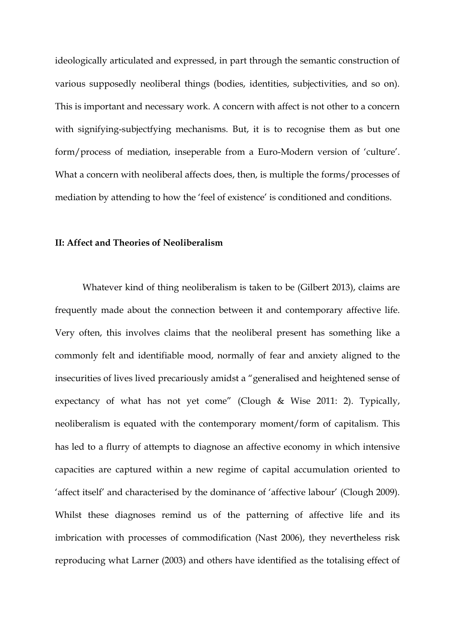ideologically articulated and expressed, in part through the semantic construction of various supposedly neoliberal things (bodies, identities, subjectivities, and so on). This is important and necessary work. A concern with affect is not other to a concern with signifying-subjectfying mechanisms. But, it is to recognise them as but one form/process of mediation, inseperable from a Euro-Modern version of 'culture'. What a concern with neoliberal affects does, then, is multiple the forms/processes of mediation by attending to how the 'feel of existence' is conditioned and conditions.

#### **II: Affect and Theories of Neoliberalism**

Whatever kind of thing neoliberalism is taken to be (Gilbert 2013), claims are frequently made about the connection between it and contemporary affective life. Very often, this involves claims that the neoliberal present has something like a commonly felt and identifiable mood, normally of fear and anxiety aligned to the insecurities of lives lived precariously amidst a "generalised and heightened sense of expectancy of what has not yet come" (Clough & Wise 2011: 2). Typically, neoliberalism is equated with the contemporary moment/form of capitalism. This has led to a flurry of attempts to diagnose an affective economy in which intensive capacities are captured within a new regime of capital accumulation oriented to 'affect itself' and characterised by the dominance of 'affective labour' (Clough 2009). Whilst these diagnoses remind us of the patterning of affective life and its imbrication with processes of commodification (Nast 2006), they nevertheless risk reproducing what Larner (2003) and others have identified as the totalising effect of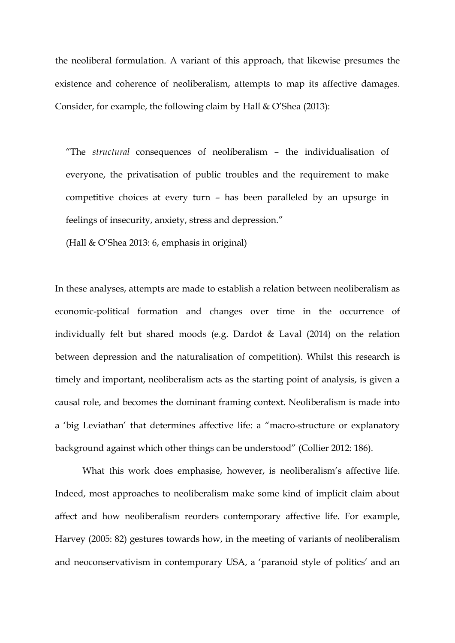the neoliberal formulation. A variant of this approach, that likewise presumes the existence and coherence of neoliberalism, attempts to map its affective damages. Consider, for example, the following claim by Hall & O'Shea (2013):

"The *structural* consequences of neoliberalism – the individualisation of everyone, the privatisation of public troubles and the requirement to make competitive choices at every turn – has been paralleled by an upsurge in feelings of insecurity, anxiety, stress and depression."

(Hall & O'Shea 2013: 6, emphasis in original)

In these analyses, attempts are made to establish a relation between neoliberalism as economic-political formation and changes over time in the occurrence of individually felt but shared moods (e.g. Dardot & Laval (2014) on the relation between depression and the naturalisation of competition). Whilst this research is timely and important, neoliberalism acts as the starting point of analysis, is given a causal role, and becomes the dominant framing context. Neoliberalism is made into a 'big Leviathan' that determines affective life: a "macro-structure or explanatory background against which other things can be understood" (Collier 2012: 186).

What this work does emphasise, however, is neoliberalism's affective life. Indeed, most approaches to neoliberalism make some kind of implicit claim about affect and how neoliberalism reorders contemporary affective life. For example, Harvey (2005: 82) gestures towards how, in the meeting of variants of neoliberalism and neoconservativism in contemporary USA, a 'paranoid style of politics' and an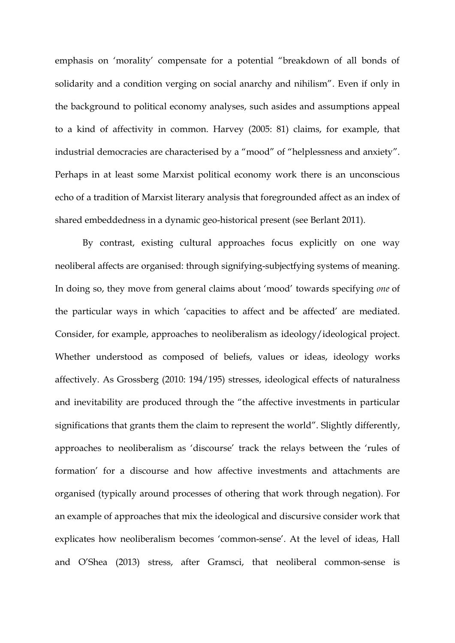emphasis on 'morality' compensate for a potential "breakdown of all bonds of solidarity and a condition verging on social anarchy and nihilism". Even if only in the background to political economy analyses, such asides and assumptions appeal to a kind of affectivity in common. Harvey (2005: 81) claims, for example, that industrial democracies are characterised by a "mood" of "helplessness and anxiety". Perhaps in at least some Marxist political economy work there is an unconscious echo of a tradition of Marxist literary analysis that foregrounded affect as an index of shared embeddedness in a dynamic geo-historical present (see Berlant 2011).

By contrast, existing cultural approaches focus explicitly on one way neoliberal affects are organised: through signifying-subjectfying systems of meaning. In doing so, they move from general claims about 'mood' towards specifying *one* of the particular ways in which 'capacities to affect and be affected' are mediated. Consider, for example, approaches to neoliberalism as ideology/ideological project. Whether understood as composed of beliefs, values or ideas, ideology works affectively. As Grossberg (2010: 194/195) stresses, ideological effects of naturalness and inevitability are produced through the "the affective investments in particular significations that grants them the claim to represent the world". Slightly differently, approaches to neoliberalism as 'discourse' track the relays between the 'rules of formation' for a discourse and how affective investments and attachments are organised (typically around processes of othering that work through negation). For an example of approaches that mix the ideological and discursive consider work that explicates how neoliberalism becomes 'common-sense'. At the level of ideas, Hall and O'Shea (2013) stress, after Gramsci, that neoliberal common-sense is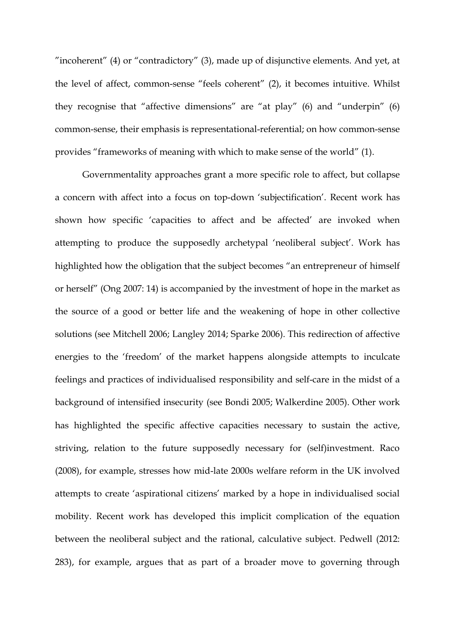"incoherent" (4) or "contradictory" (3), made up of disjunctive elements. And yet, at the level of affect, common-sense "feels coherent" (2), it becomes intuitive. Whilst they recognise that "affective dimensions" are "at play" (6) and "underpin" (6) common-sense, their emphasis is representational-referential; on how common-sense provides "frameworks of meaning with which to make sense of the world" (1).

Governmentality approaches grant a more specific role to affect, but collapse a concern with affect into a focus on top-down 'subjectification'. Recent work has shown how specific 'capacities to affect and be affected' are invoked when attempting to produce the supposedly archetypal 'neoliberal subject'. Work has highlighted how the obligation that the subject becomes "an entrepreneur of himself or herself" (Ong 2007: 14) is accompanied by the investment of hope in the market as the source of a good or better life and the weakening of hope in other collective solutions (see Mitchell 2006; Langley 2014; Sparke 2006). This redirection of affective energies to the 'freedom' of the market happens alongside attempts to inculcate feelings and practices of individualised responsibility and self-care in the midst of a background of intensified insecurity (see Bondi 2005; Walkerdine 2005). Other work has highlighted the specific affective capacities necessary to sustain the active, striving, relation to the future supposedly necessary for (self)investment. Raco (2008), for example, stresses how mid-late 2000s welfare reform in the UK involved attempts to create 'aspirational citizens' marked by a hope in individualised social mobility. Recent work has developed this implicit complication of the equation between the neoliberal subject and the rational, calculative subject. Pedwell (2012: 283), for example, argues that as part of a broader move to governing through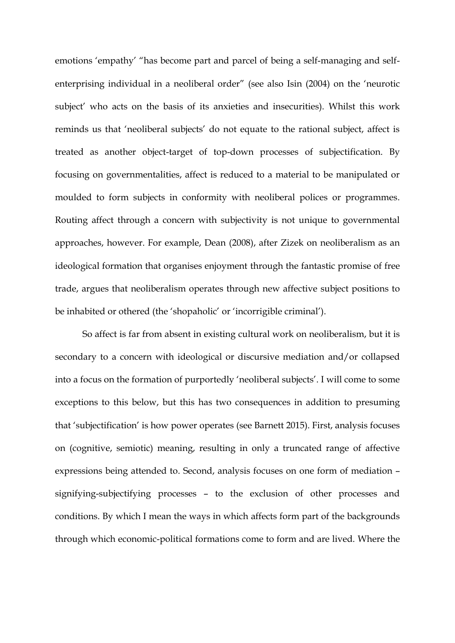emotions 'empathy' "has become part and parcel of being a self-managing and selfenterprising individual in a neoliberal order" (see also Isin (2004) on the 'neurotic subject' who acts on the basis of its anxieties and insecurities). Whilst this work reminds us that 'neoliberal subjects' do not equate to the rational subject, affect is treated as another object-target of top-down processes of subjectification. By focusing on governmentalities, affect is reduced to a material to be manipulated or moulded to form subjects in conformity with neoliberal polices or programmes. Routing affect through a concern with subjectivity is not unique to governmental approaches, however. For example, Dean (2008), after Zizek on neoliberalism as an ideological formation that organises enjoyment through the fantastic promise of free trade, argues that neoliberalism operates through new affective subject positions to be inhabited or othered (the 'shopaholic' or 'incorrigible criminal').

So affect is far from absent in existing cultural work on neoliberalism, but it is secondary to a concern with ideological or discursive mediation and/or collapsed into a focus on the formation of purportedly 'neoliberal subjects'. I will come to some exceptions to this below, but this has two consequences in addition to presuming that 'subjectification' is how power operates (see Barnett 2015). First, analysis focuses on (cognitive, semiotic) meaning, resulting in only a truncated range of affective expressions being attended to. Second, analysis focuses on one form of mediation – signifying-subjectifying processes – to the exclusion of other processes and conditions. By which I mean the ways in which affects form part of the backgrounds through which economic-political formations come to form and are lived. Where the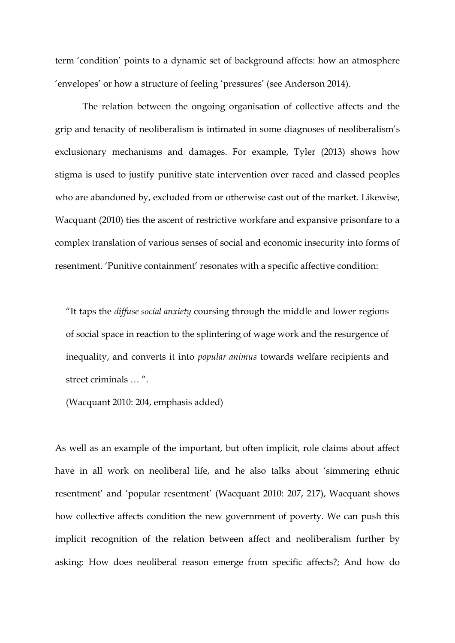term 'condition' points to a dynamic set of background affects: how an atmosphere 'envelopes' or how a structure of feeling 'pressures' (see Anderson 2014).

The relation between the ongoing organisation of collective affects and the grip and tenacity of neoliberalism is intimated in some diagnoses of neoliberalism's exclusionary mechanisms and damages. For example, Tyler (2013) shows how stigma is used to justify punitive state intervention over raced and classed peoples who are abandoned by, excluded from or otherwise cast out of the market. Likewise, Wacquant (2010) ties the ascent of restrictive workfare and expansive prisonfare to a complex translation of various senses of social and economic insecurity into forms of resentment. 'Punitive containment' resonates with a specific affective condition:

"It taps the *diffuse social anxiety* coursing through the middle and lower regions of social space in reaction to the splintering of wage work and the resurgence of inequality, and converts it into *popular animus* towards welfare recipients and street criminals … ".

(Wacquant 2010: 204, emphasis added)

As well as an example of the important, but often implicit, role claims about affect have in all work on neoliberal life, and he also talks about 'simmering ethnic resentment' and 'popular resentment' (Wacquant 2010: 207, 217), Wacquant shows how collective affects condition the new government of poverty. We can push this implicit recognition of the relation between affect and neoliberalism further by asking: How does neoliberal reason emerge from specific affects?; And how do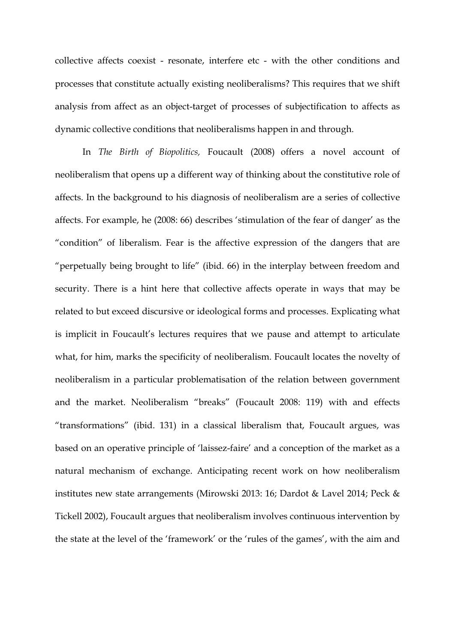collective affects coexist - resonate, interfere etc - with the other conditions and processes that constitute actually existing neoliberalisms? This requires that we shift analysis from affect as an object-target of processes of subjectification to affects as dynamic collective conditions that neoliberalisms happen in and through.

In *The Birth of Biopolitics,* Foucault (2008) offers a novel account of neoliberalism that opens up a different way of thinking about the constitutive role of affects. In the background to his diagnosis of neoliberalism are a series of collective affects. For example, he (2008: 66) describes 'stimulation of the fear of danger' as the "condition" of liberalism. Fear is the affective expression of the dangers that are "perpetually being brought to life" (ibid. 66) in the interplay between freedom and security. There is a hint here that collective affects operate in ways that may be related to but exceed discursive or ideological forms and processes. Explicating what is implicit in Foucault's lectures requires that we pause and attempt to articulate what, for him, marks the specificity of neoliberalism. Foucault locates the novelty of neoliberalism in a particular problematisation of the relation between government and the market. Neoliberalism "breaks" (Foucault 2008: 119) with and effects "transformations" (ibid. 131) in a classical liberalism that, Foucault argues, was based on an operative principle of 'laissez-faire' and a conception of the market as a natural mechanism of exchange. Anticipating recent work on how neoliberalism institutes new state arrangements (Mirowski 2013: 16; Dardot & Lavel 2014; Peck & Tickell 2002), Foucault argues that neoliberalism involves continuous intervention by the state at the level of the 'framework' or the 'rules of the games', with the aim and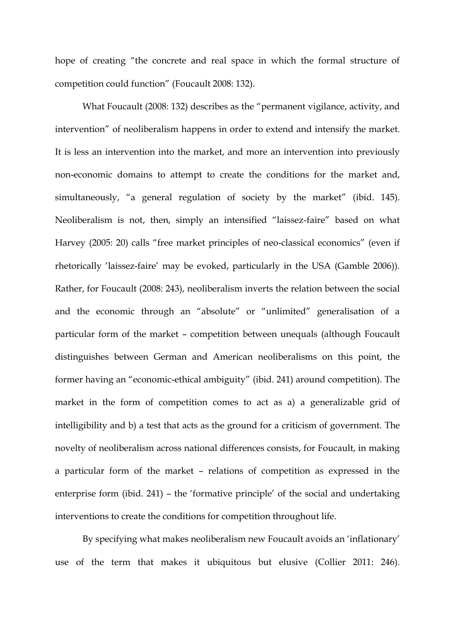hope of creating "the concrete and real space in which the formal structure of competition could function" (Foucault 2008: 132).

What Foucault (2008: 132) describes as the "permanent vigilance, activity, and intervention" of neoliberalism happens in order to extend and intensify the market. It is less an intervention into the market, and more an intervention into previously non-economic domains to attempt to create the conditions for the market and, simultaneously, "a general regulation of society by the market" (ibid. 145). Neoliberalism is not, then, simply an intensified "laissez-faire" based on what Harvey (2005: 20) calls "free market principles of neo-classical economics" (even if rhetorically 'laissez-faire' may be evoked, particularly in the USA (Gamble 2006)). Rather, for Foucault (2008: 243), neoliberalism inverts the relation between the social and the economic through an "absolute" or "unlimited" generalisation of a particular form of the market – competition between unequals (although Foucault distinguishes between German and American neoliberalisms on this point, the former having an "economic-ethical ambiguity" (ibid. 241) around competition). The market in the form of competition comes to act as a) a generalizable grid of intelligibility and b) a test that acts as the ground for a criticism of government. The novelty of neoliberalism across national differences consists, for Foucault, in making a particular form of the market – relations of competition as expressed in the enterprise form (ibid. 241) – the 'formative principle' of the social and undertaking interventions to create the conditions for competition throughout life.

By specifying what makes neoliberalism new Foucault avoids an 'inflationary' use of the term that makes it ubiquitous but elusive (Collier 2011: 246).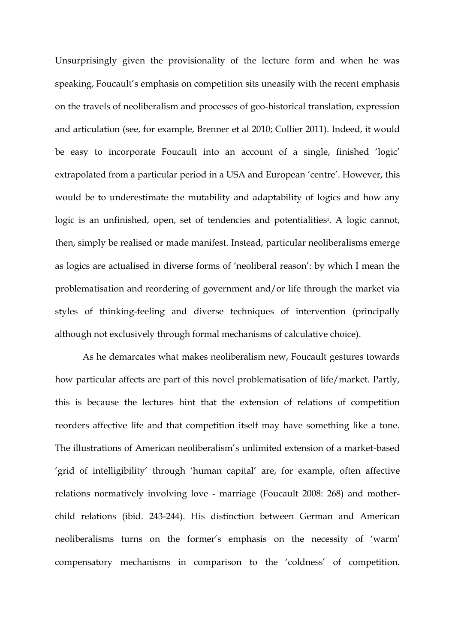Unsurprisingly given the provisionality of the lecture form and when he was speaking, Foucault's emphasis on competition sits uneasily with the recent emphasis on the travels of neoliberalism and processes of geo-historical translation, expression and articulation (see, for example, Brenner et al 2010; Collier 2011). Indeed, it would be easy to incorporate Foucault into an account of a single, finished 'logic' extrapolated from a particular period in a USA and European 'centre'. However, this would be to underestimate the mutability and adaptability of logics and how any logic is an unfinished, open, set of tendencies and potentialities<sup>i</sup>. A logic cannot, then, simply be realised or made manifest. Instead, particular neoliberalisms emerge as logics are actualised in diverse forms of 'neoliberal reason': by which I mean the problematisation and reordering of government and/or life through the market via styles of thinking-feeling and diverse techniques of intervention (principally although not exclusively through formal mechanisms of calculative choice).

As he demarcates what makes neoliberalism new, Foucault gestures towards how particular affects are part of this novel problematisation of life/market. Partly, this is because the lectures hint that the extension of relations of competition reorders affective life and that competition itself may have something like a tone. The illustrations of American neoliberalism's unlimited extension of a market-based 'grid of intelligibility' through 'human capital' are, for example, often affective relations normatively involving love - marriage (Foucault 2008: 268) and motherchild relations (ibid. 243-244). His distinction between German and American neoliberalisms turns on the former's emphasis on the necessity of 'warm' compensatory mechanisms in comparison to the 'coldness' of competition.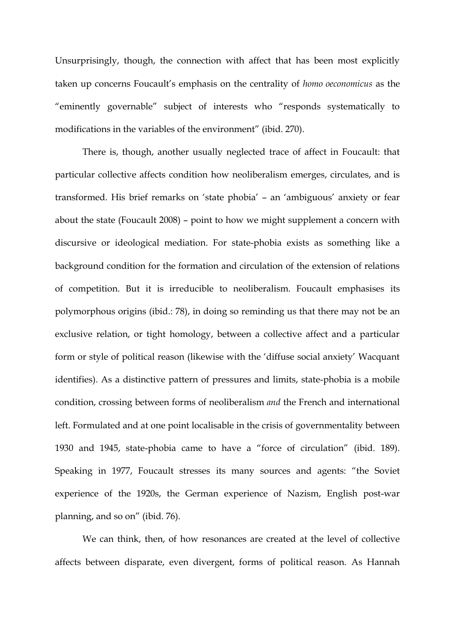Unsurprisingly, though, the connection with affect that has been most explicitly taken up concerns Foucault's emphasis on the centrality of *homo oeconomicus* as the "eminently governable" subject of interests who "responds systematically to modifications in the variables of the environment" (ibid. 270).

There is, though, another usually neglected trace of affect in Foucault: that particular collective affects condition how neoliberalism emerges, circulates, and is transformed. His brief remarks on 'state phobia' – an 'ambiguous' anxiety or fear about the state (Foucault 2008) – point to how we might supplement a concern with discursive or ideological mediation. For state-phobia exists as something like a background condition for the formation and circulation of the extension of relations of competition. But it is irreducible to neoliberalism. Foucault emphasises its polymorphous origins (ibid.: 78), in doing so reminding us that there may not be an exclusive relation, or tight homology, between a collective affect and a particular form or style of political reason (likewise with the 'diffuse social anxiety' Wacquant identifies). As a distinctive pattern of pressures and limits, state-phobia is a mobile condition, crossing between forms of neoliberalism *and* the French and international left. Formulated and at one point localisable in the crisis of governmentality between 1930 and 1945, state-phobia came to have a "force of circulation" (ibid. 189). Speaking in 1977, Foucault stresses its many sources and agents: "the Soviet experience of the 1920s, the German experience of Nazism, English post-war planning, and so on" (ibid. 76).

We can think, then, of how resonances are created at the level of collective affects between disparate, even divergent, forms of political reason. As Hannah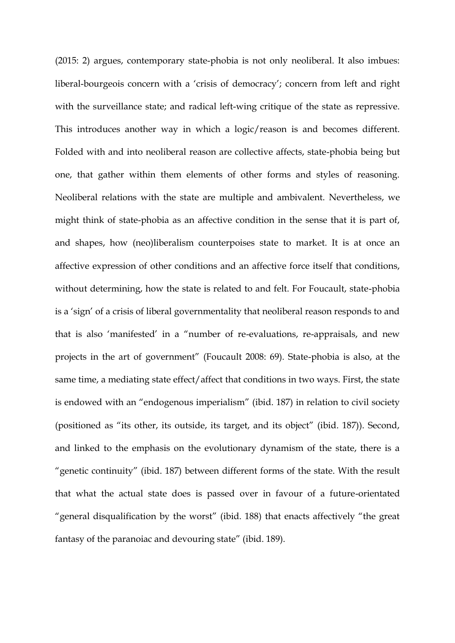(2015: 2) argues, contemporary state-phobia is not only neoliberal. It also imbues: liberal-bourgeois concern with a 'crisis of democracy'; concern from left and right with the surveillance state; and radical left-wing critique of the state as repressive. This introduces another way in which a logic/reason is and becomes different. Folded with and into neoliberal reason are collective affects, state-phobia being but one, that gather within them elements of other forms and styles of reasoning. Neoliberal relations with the state are multiple and ambivalent. Nevertheless, we might think of state-phobia as an affective condition in the sense that it is part of, and shapes, how (neo)liberalism counterpoises state to market. It is at once an affective expression of other conditions and an affective force itself that conditions, without determining, how the state is related to and felt. For Foucault, state-phobia is a 'sign' of a crisis of liberal governmentality that neoliberal reason responds to and that is also 'manifested' in a "number of re-evaluations, re-appraisals, and new projects in the art of government" (Foucault 2008: 69). State-phobia is also, at the same time, a mediating state effect/affect that conditions in two ways. First, the state is endowed with an "endogenous imperialism" (ibid. 187) in relation to civil society (positioned as "its other, its outside, its target, and its object" (ibid. 187)). Second, and linked to the emphasis on the evolutionary dynamism of the state, there is a "genetic continuity" (ibid. 187) between different forms of the state. With the result that what the actual state does is passed over in favour of a future-orientated "general disqualification by the worst" (ibid. 188) that enacts affectively "the great fantasy of the paranoiac and devouring state" (ibid. 189).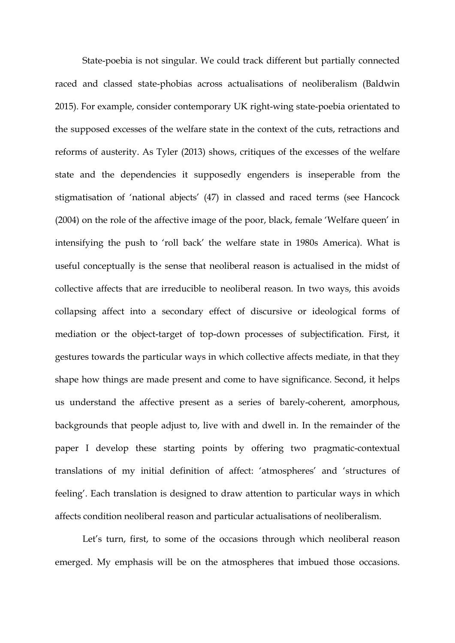State-poebia is not singular. We could track different but partially connected raced and classed state-phobias across actualisations of neoliberalism (Baldwin 2015). For example, consider contemporary UK right-wing state-poebia orientated to the supposed excesses of the welfare state in the context of the cuts, retractions and reforms of austerity. As Tyler (2013) shows, critiques of the excesses of the welfare state and the dependencies it supposedly engenders is inseperable from the stigmatisation of 'national abjects' (47) in classed and raced terms (see Hancock (2004) on the role of the affective image of the poor, black, female 'Welfare queen' in intensifying the push to 'roll back' the welfare state in 1980s America). What is useful conceptually is the sense that neoliberal reason is actualised in the midst of collective affects that are irreducible to neoliberal reason. In two ways, this avoids collapsing affect into a secondary effect of discursive or ideological forms of mediation or the object-target of top-down processes of subjectification. First, it gestures towards the particular ways in which collective affects mediate, in that they shape how things are made present and come to have significance. Second, it helps us understand the affective present as a series of barely-coherent, amorphous, backgrounds that people adjust to, live with and dwell in. In the remainder of the paper I develop these starting points by offering two pragmatic-contextual translations of my initial definition of affect: 'atmospheres' and 'structures of feeling'. Each translation is designed to draw attention to particular ways in which affects condition neoliberal reason and particular actualisations of neoliberalism.

Let's turn, first, to some of the occasions through which neoliberal reason emerged. My emphasis will be on the atmospheres that imbued those occasions.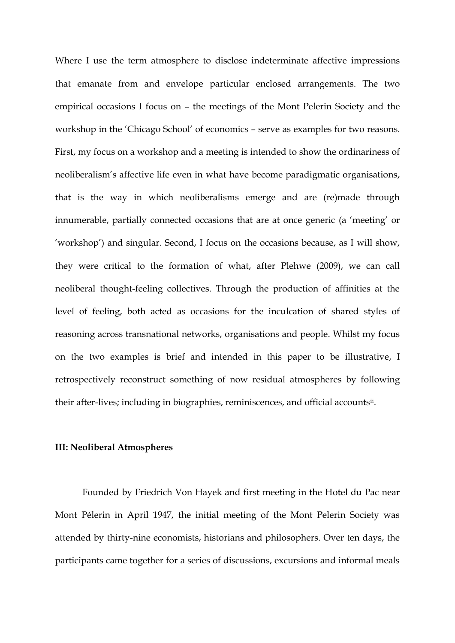Where I use the term atmosphere to disclose indeterminate affective impressions that emanate from and envelope particular enclosed arrangements. The two empirical occasions I focus on – the meetings of the Mont Pelerin Society and the workshop in the 'Chicago School' of economics – serve as examples for two reasons. First, my focus on a workshop and a meeting is intended to show the ordinariness of neoliberalism's affective life even in what have become paradigmatic organisations, that is the way in which neoliberalisms emerge and are (re)made through innumerable, partially connected occasions that are at once generic (a 'meeting' or 'workshop') and singular. Second, I focus on the occasions because, as I will show, they were critical to the formation of what, after Plehwe (2009), we can call neoliberal thought-feeling collectives. Through the production of affinities at the level of feeling, both acted as occasions for the inculcation of shared styles of reasoning across transnational networks, organisations and people. Whilst my focus on the two examples is brief and intended in this paper to be illustrative, I retrospectively reconstruct something of now residual atmospheres by following their after-lives; including in biographies, reminiscences, and official accounts<sup>ii</sup>.

### **III: Neoliberal Atmospheres**

Founded by Friedrich Von Hayek and first meeting in the Hotel du Pac near Mont Pélerin in April 1947, the initial meeting of the Mont Pelerin Society was attended by thirty-nine economists, historians and philosophers. Over ten days, the participants came together for a series of discussions, excursions and informal meals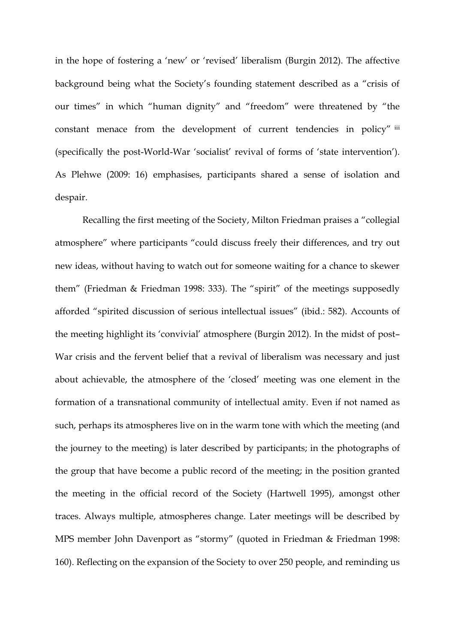in the hope of fostering a 'new' or 'revised' liberalism (Burgin 2012). The affective background being what the Society's founding statement described as a "crisis of our times" in which "human dignity" and "freedom" were threatened by "the constant menace from the development of current tendencies in policy" iii (specifically the post-World-War 'socialist' revival of forms of 'state intervention'). As Plehwe (2009: 16) emphasises, participants shared a sense of isolation and despair.

Recalling the first meeting of the Society, Milton Friedman praises a "collegial atmosphere" where participants "could discuss freely their differences, and try out new ideas, without having to watch out for someone waiting for a chance to skewer them" (Friedman & Friedman 1998: 333). The "spirit" of the meetings supposedly afforded "spirited discussion of serious intellectual issues" (ibid.: 582). Accounts of the meeting highlight its 'convivial' atmosphere (Burgin 2012). In the midst of post– War crisis and the fervent belief that a revival of liberalism was necessary and just about achievable, the atmosphere of the 'closed' meeting was one element in the formation of a transnational community of intellectual amity. Even if not named as such, perhaps its atmospheres live on in the warm tone with which the meeting (and the journey to the meeting) is later described by participants; in the photographs of the group that have become a public record of the meeting; in the position granted the meeting in the official record of the Society (Hartwell 1995), amongst other traces. Always multiple, atmospheres change. Later meetings will be described by MPS member John Davenport as "stormy" (quoted in Friedman & Friedman 1998: 160). Reflecting on the expansion of the Society to over 250 people, and reminding us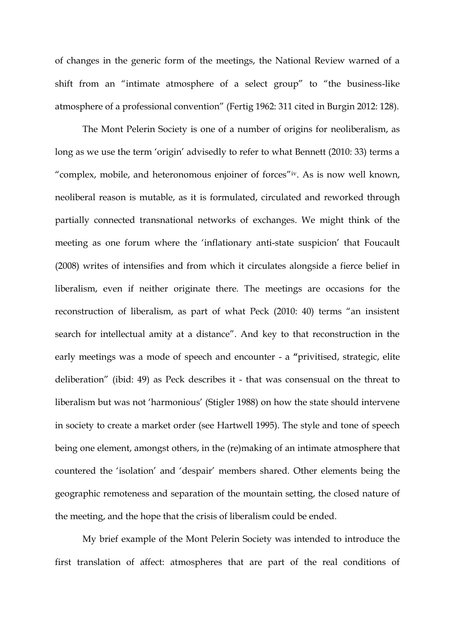of changes in the generic form of the meetings, the National Review warned of a shift from an "intimate atmosphere of a select group" to "the business-like atmosphere of a professional convention" (Fertig 1962: 311 cited in Burgin 2012: 128).

The Mont Pelerin Society is one of a number of origins for neoliberalism, as long as we use the term 'origin' advisedly to refer to what Bennett (2010: 33) terms a "complex, mobile, and heteronomous enjoiner of forces"iv. As is now well known, neoliberal reason is mutable, as it is formulated, circulated and reworked through partially connected transnational networks of exchanges. We might think of the meeting as one forum where the 'inflationary anti-state suspicion' that Foucault (2008) writes of intensifies and from which it circulates alongside a fierce belief in liberalism, even if neither originate there. The meetings are occasions for the reconstruction of liberalism, as part of what Peck (2010: 40) terms "an insistent search for intellectual amity at a distance". And key to that reconstruction in the early meetings was a mode of speech and encounter - a **"**privitised, strategic, elite deliberation" (ibid: 49) as Peck describes it - that was consensual on the threat to liberalism but was not 'harmonious' (Stigler 1988) on how the state should intervene in society to create a market order (see Hartwell 1995). The style and tone of speech being one element, amongst others, in the (re)making of an intimate atmosphere that countered the 'isolation' and 'despair' members shared. Other elements being the geographic remoteness and separation of the mountain setting, the closed nature of the meeting, and the hope that the crisis of liberalism could be ended.

My brief example of the Mont Pelerin Society was intended to introduce the first translation of affect: atmospheres that are part of the real conditions of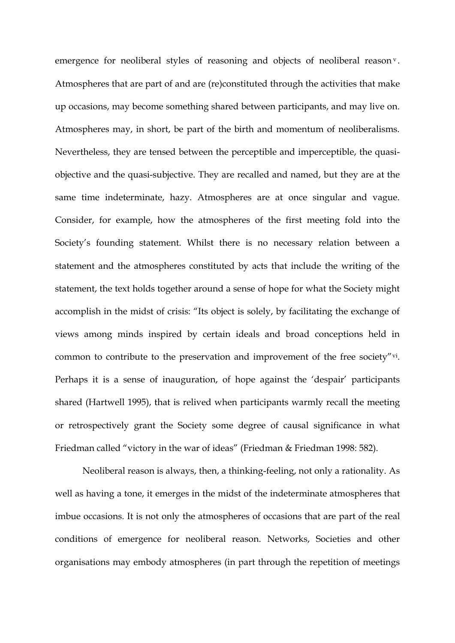emergence for neoliberal styles of reasoning and objects of neoliberal reason<sup>v</sup>. Atmospheres that are part of and are (re)constituted through the activities that make up occasions, may become something shared between participants, and may live on. Atmospheres may, in short, be part of the birth and momentum of neoliberalisms. Nevertheless, they are tensed between the perceptible and imperceptible, the quasiobjective and the quasi-subjective. They are recalled and named, but they are at the same time indeterminate, hazy. Atmospheres are at once singular and vague. Consider, for example, how the atmospheres of the first meeting fold into the Society's founding statement. Whilst there is no necessary relation between a statement and the atmospheres constituted by acts that include the writing of the statement, the text holds together around a sense of hope for what the Society might accomplish in the midst of crisis: "Its object is solely, by facilitating the exchange of views among minds inspired by certain ideals and broad conceptions held in common to contribute to the preservation and improvement of the free society"vi. Perhaps it is a sense of inauguration, of hope against the 'despair' participants shared (Hartwell 1995), that is relived when participants warmly recall the meeting or retrospectively grant the Society some degree of causal significance in what Friedman called "victory in the war of ideas" (Friedman & Friedman 1998: 582).

Neoliberal reason is always, then, a thinking-feeling, not only a rationality. As well as having a tone, it emerges in the midst of the indeterminate atmospheres that imbue occasions. It is not only the atmospheres of occasions that are part of the real conditions of emergence for neoliberal reason. Networks, Societies and other organisations may embody atmospheres (in part through the repetition of meetings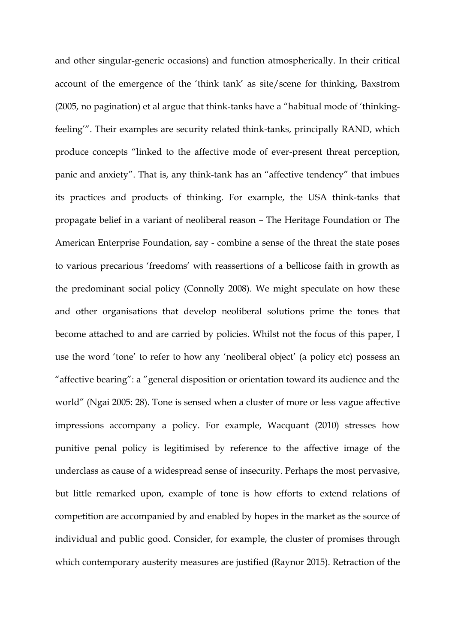and other singular-generic occasions) and function atmospherically. In their critical account of the emergence of the 'think tank' as site/scene for thinking, Baxstrom (2005, no pagination) et al argue that think-tanks have a "habitual mode of 'thinkingfeeling'". Their examples are security related think-tanks, principally RAND, which produce concepts "linked to the affective mode of ever-present threat perception, panic and anxiety". That is, any think-tank has an "affective tendency" that imbues its practices and products of thinking. For example, the USA think-tanks that propagate belief in a variant of neoliberal reason – The Heritage Foundation or The American Enterprise Foundation, say - combine a sense of the threat the state poses to various precarious 'freedoms' with reassertions of a bellicose faith in growth as the predominant social policy (Connolly 2008). We might speculate on how these and other organisations that develop neoliberal solutions prime the tones that become attached to and are carried by policies. Whilst not the focus of this paper, I use the word 'tone' to refer to how any 'neoliberal object' (a policy etc) possess an "affective bearing": a "general disposition or orientation toward its audience and the world" (Ngai 2005: 28). Tone is sensed when a cluster of more or less vague affective impressions accompany a policy. For example, Wacquant (2010) stresses how punitive penal policy is legitimised by reference to the affective image of the underclass as cause of a widespread sense of insecurity. Perhaps the most pervasive, but little remarked upon, example of tone is how efforts to extend relations of competition are accompanied by and enabled by hopes in the market as the source of individual and public good. Consider, for example, the cluster of promises through which contemporary austerity measures are justified (Raynor 2015). Retraction of the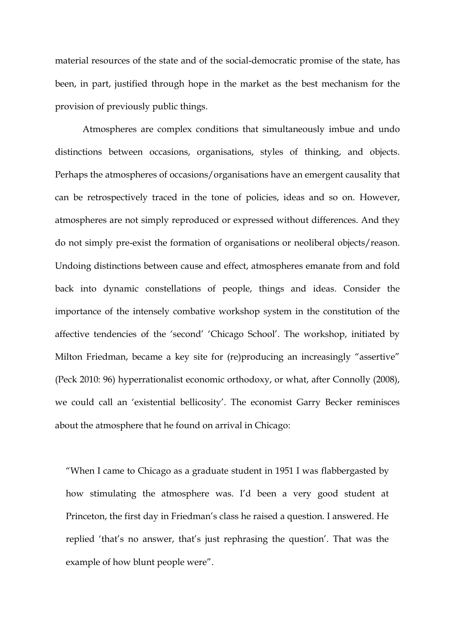material resources of the state and of the social-democratic promise of the state, has been, in part, justified through hope in the market as the best mechanism for the provision of previously public things.

Atmospheres are complex conditions that simultaneously imbue and undo distinctions between occasions, organisations, styles of thinking, and objects. Perhaps the atmospheres of occasions/organisations have an emergent causality that can be retrospectively traced in the tone of policies, ideas and so on. However, atmospheres are not simply reproduced or expressed without differences. And they do not simply pre-exist the formation of organisations or neoliberal objects/reason. Undoing distinctions between cause and effect, atmospheres emanate from and fold back into dynamic constellations of people, things and ideas. Consider the importance of the intensely combative workshop system in the constitution of the affective tendencies of the 'second' 'Chicago School'. The workshop, initiated by Milton Friedman, became a key site for (re)producing an increasingly "assertive" (Peck 2010: 96) hyperrationalist economic orthodoxy, or what, after Connolly (2008), we could call an 'existential bellicosity'. The economist Garry Becker reminisces about the atmosphere that he found on arrival in Chicago:

"When I came to Chicago as a graduate student in 1951 I was flabbergasted by how stimulating the atmosphere was. I'd been a very good student at Princeton, the first day in Friedman's class he raised a question. I answered. He replied 'that's no answer, that's just rephrasing the question'. That was the example of how blunt people were".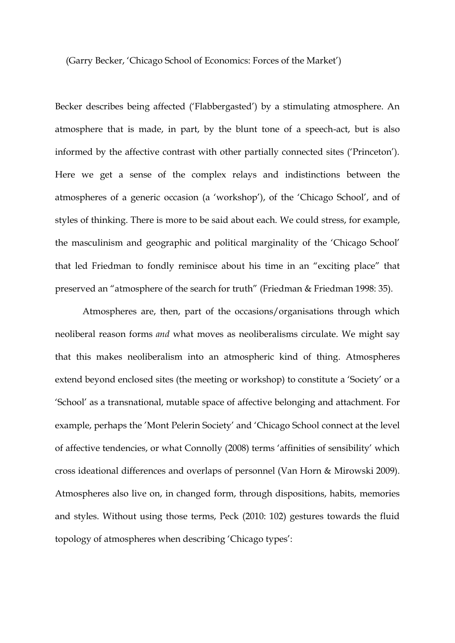(Garry Becker, 'Chicago School of Economics: Forces of the Market')

Becker describes being affected ('Flabbergasted') by a stimulating atmosphere. An atmosphere that is made, in part, by the blunt tone of a speech-act, but is also informed by the affective contrast with other partially connected sites ('Princeton'). Here we get a sense of the complex relays and indistinctions between the atmospheres of a generic occasion (a 'workshop'), of the 'Chicago School', and of styles of thinking. There is more to be said about each. We could stress, for example, the masculinism and geographic and political marginality of the 'Chicago School' that led Friedman to fondly reminisce about his time in an "exciting place" that preserved an "atmosphere of the search for truth" (Friedman & Friedman 1998: 35).

Atmospheres are, then, part of the occasions/organisations through which neoliberal reason forms *and* what moves as neoliberalisms circulate. We might say that this makes neoliberalism into an atmospheric kind of thing. Atmospheres extend beyond enclosed sites (the meeting or workshop) to constitute a 'Society' or a 'School' as a transnational, mutable space of affective belonging and attachment. For example, perhaps the 'Mont Pelerin Society' and 'Chicago School connect at the level of affective tendencies, or what Connolly (2008) terms 'affinities of sensibility' which cross ideational differences and overlaps of personnel (Van Horn & Mirowski 2009). Atmospheres also live on, in changed form, through dispositions, habits, memories and styles. Without using those terms, Peck (2010: 102) gestures towards the fluid topology of atmospheres when describing 'Chicago types':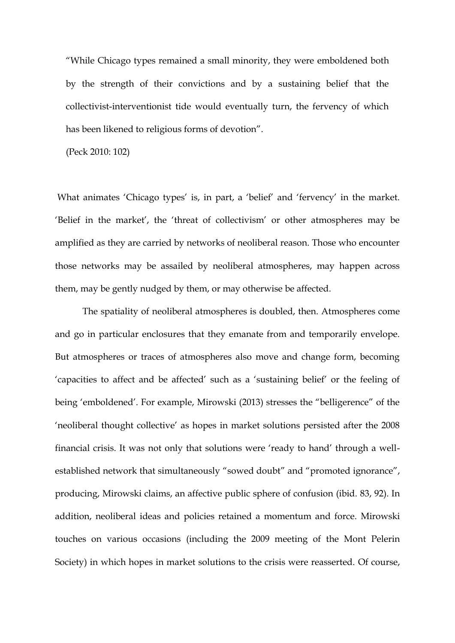"While Chicago types remained a small minority, they were emboldened both by the strength of their convictions and by a sustaining belief that the collectivist-interventionist tide would eventually turn, the fervency of which has been likened to religious forms of devotion".

(Peck 2010: 102)

What animates 'Chicago types' is, in part, a 'belief' and 'fervency' in the market. 'Belief in the market', the 'threat of collectivism' or other atmospheres may be amplified as they are carried by networks of neoliberal reason. Those who encounter those networks may be assailed by neoliberal atmospheres, may happen across them, may be gently nudged by them, or may otherwise be affected.

The spatiality of neoliberal atmospheres is doubled, then. Atmospheres come and go in particular enclosures that they emanate from and temporarily envelope. But atmospheres or traces of atmospheres also move and change form, becoming 'capacities to affect and be affected' such as a 'sustaining belief' or the feeling of being 'emboldened'. For example, Mirowski (2013) stresses the "belligerence" of the 'neoliberal thought collective' as hopes in market solutions persisted after the 2008 financial crisis. It was not only that solutions were 'ready to hand' through a wellestablished network that simultaneously "sowed doubt" and "promoted ignorance", producing, Mirowski claims, an affective public sphere of confusion (ibid. 83, 92). In addition, neoliberal ideas and policies retained a momentum and force. Mirowski touches on various occasions (including the 2009 meeting of the Mont Pelerin Society) in which hopes in market solutions to the crisis were reasserted. Of course,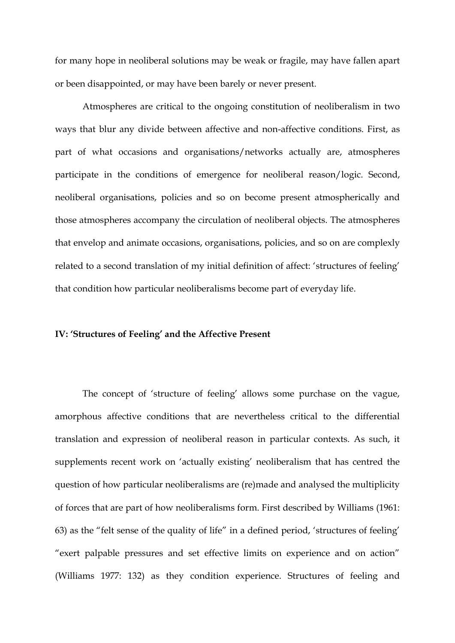for many hope in neoliberal solutions may be weak or fragile, may have fallen apart or been disappointed, or may have been barely or never present.

Atmospheres are critical to the ongoing constitution of neoliberalism in two ways that blur any divide between affective and non-affective conditions. First, as part of what occasions and organisations/networks actually are, atmospheres participate in the conditions of emergence for neoliberal reason/logic. Second, neoliberal organisations, policies and so on become present atmospherically and those atmospheres accompany the circulation of neoliberal objects. The atmospheres that envelop and animate occasions, organisations, policies, and so on are complexly related to a second translation of my initial definition of affect: 'structures of feeling' that condition how particular neoliberalisms become part of everyday life.

#### **IV: 'Structures of Feeling' and the Affective Present**

The concept of 'structure of feeling' allows some purchase on the vague, amorphous affective conditions that are nevertheless critical to the differential translation and expression of neoliberal reason in particular contexts. As such, it supplements recent work on 'actually existing' neoliberalism that has centred the question of how particular neoliberalisms are (re)made and analysed the multiplicity of forces that are part of how neoliberalisms form. First described by Williams (1961: 63) as the "felt sense of the quality of life" in a defined period, 'structures of feeling' "exert palpable pressures and set effective limits on experience and on action" (Williams 1977: 132) as they condition experience. Structures of feeling and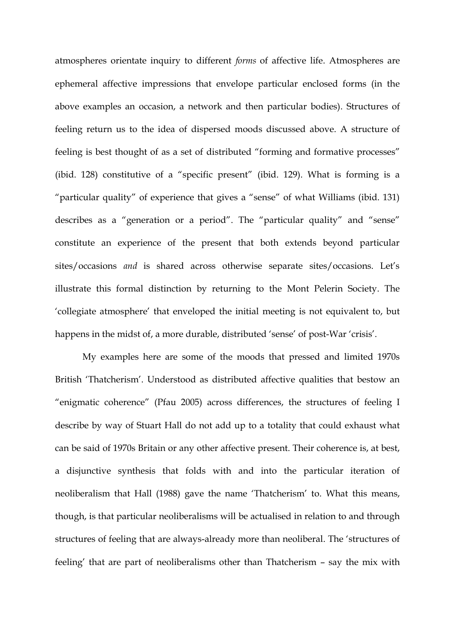atmospheres orientate inquiry to different *forms* of affective life. Atmospheres are ephemeral affective impressions that envelope particular enclosed forms (in the above examples an occasion, a network and then particular bodies). Structures of feeling return us to the idea of dispersed moods discussed above. A structure of feeling is best thought of as a set of distributed "forming and formative processes" (ibid. 128) constitutive of a "specific present" (ibid. 129). What is forming is a "particular quality" of experience that gives a "sense" of what Williams (ibid. 131) describes as a "generation or a period". The "particular quality" and "sense" constitute an experience of the present that both extends beyond particular sites/occasions *and* is shared across otherwise separate sites/occasions. Let's illustrate this formal distinction by returning to the Mont Pelerin Society. The 'collegiate atmosphere' that enveloped the initial meeting is not equivalent to, but happens in the midst of, a more durable, distributed 'sense' of post-War 'crisis'.

My examples here are some of the moods that pressed and limited 1970s British 'Thatcherism'. Understood as distributed affective qualities that bestow an "enigmatic coherence" (Pfau 2005) across differences, the structures of feeling I describe by way of Stuart Hall do not add up to a totality that could exhaust what can be said of 1970s Britain or any other affective present. Their coherence is, at best, a disjunctive synthesis that folds with and into the particular iteration of neoliberalism that Hall (1988) gave the name 'Thatcherism' to. What this means, though, is that particular neoliberalisms will be actualised in relation to and through structures of feeling that are always-already more than neoliberal. The 'structures of feeling' that are part of neoliberalisms other than Thatcherism – say the mix with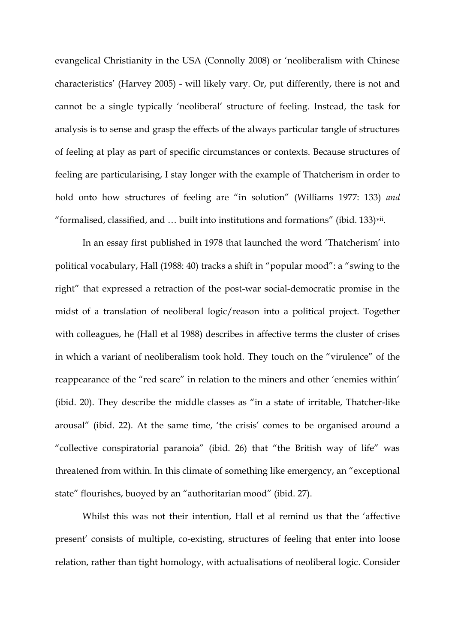evangelical Christianity in the USA (Connolly 2008) or 'neoliberalism with Chinese characteristics' (Harvey 2005) - will likely vary. Or, put differently, there is not and cannot be a single typically 'neoliberal' structure of feeling. Instead, the task for analysis is to sense and grasp the effects of the always particular tangle of structures of feeling at play as part of specific circumstances or contexts. Because structures of feeling are particularising, I stay longer with the example of Thatcherism in order to hold onto how structures of feeling are "in solution" (Williams 1977: 133) *and* "formalised, classified, and  $\dots$  built into institutions and formations" (ibid. 133) $\overline{v}$ ii.

In an essay first published in 1978 that launched the word 'Thatcherism' into political vocabulary, Hall (1988: 40) tracks a shift in "popular mood": a "swing to the right" that expressed a retraction of the post-war social-democratic promise in the midst of a translation of neoliberal logic/reason into a political project. Together with colleagues, he (Hall et al 1988) describes in affective terms the cluster of crises in which a variant of neoliberalism took hold. They touch on the "virulence" of the reappearance of the "red scare" in relation to the miners and other 'enemies within' (ibid. 20). They describe the middle classes as "in a state of irritable, Thatcher-like arousal" (ibid. 22). At the same time, 'the crisis' comes to be organised around a "collective conspiratorial paranoia" (ibid. 26) that "the British way of life" was threatened from within. In this climate of something like emergency, an "exceptional state" flourishes, buoyed by an "authoritarian mood" (ibid. 27).

Whilst this was not their intention, Hall et al remind us that the 'affective present' consists of multiple, co-existing, structures of feeling that enter into loose relation, rather than tight homology, with actualisations of neoliberal logic. Consider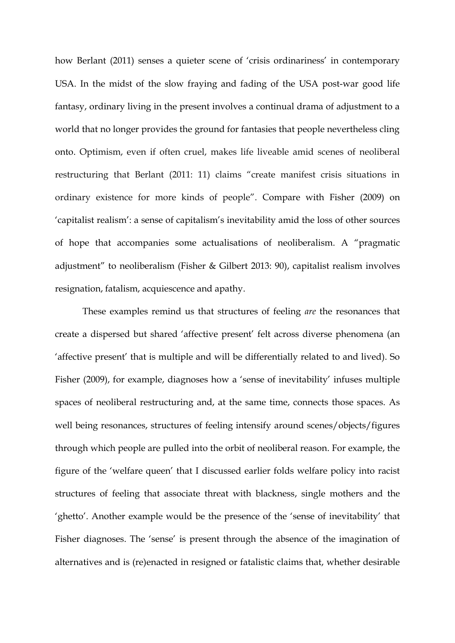how Berlant (2011) senses a quieter scene of 'crisis ordinariness' in contemporary USA. In the midst of the slow fraying and fading of the USA post-war good life fantasy, ordinary living in the present involves a continual drama of adjustment to a world that no longer provides the ground for fantasies that people nevertheless cling onto. Optimism, even if often cruel, makes life liveable amid scenes of neoliberal restructuring that Berlant (2011: 11) claims "create manifest crisis situations in ordinary existence for more kinds of people". Compare with Fisher (2009) on 'capitalist realism': a sense of capitalism's inevitability amid the loss of other sources of hope that accompanies some actualisations of neoliberalism. A "pragmatic adjustment" to neoliberalism (Fisher & Gilbert 2013: 90), capitalist realism involves resignation, fatalism, acquiescence and apathy.

These examples remind us that structures of feeling *are* the resonances that create a dispersed but shared 'affective present' felt across diverse phenomena (an 'affective present' that is multiple and will be differentially related to and lived). So Fisher (2009), for example, diagnoses how a 'sense of inevitability' infuses multiple spaces of neoliberal restructuring and, at the same time, connects those spaces. As well being resonances, structures of feeling intensify around scenes/objects/figures through which people are pulled into the orbit of neoliberal reason. For example, the figure of the 'welfare queen' that I discussed earlier folds welfare policy into racist structures of feeling that associate threat with blackness, single mothers and the 'ghetto'. Another example would be the presence of the 'sense of inevitability' that Fisher diagnoses. The 'sense' is present through the absence of the imagination of alternatives and is (re)enacted in resigned or fatalistic claims that, whether desirable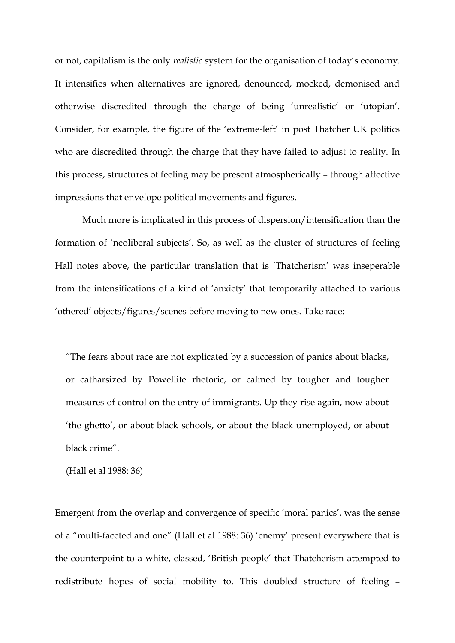or not, capitalism is the only *realistic* system for the organisation of today's economy. It intensifies when alternatives are ignored, denounced, mocked, demonised and otherwise discredited through the charge of being 'unrealistic' or 'utopian'. Consider, for example, the figure of the 'extreme-left' in post Thatcher UK politics who are discredited through the charge that they have failed to adjust to reality. In this process, structures of feeling may be present atmospherically – through affective impressions that envelope political movements and figures.

Much more is implicated in this process of dispersion/intensification than the formation of 'neoliberal subjects'. So, as well as the cluster of structures of feeling Hall notes above, the particular translation that is 'Thatcherism' was inseperable from the intensifications of a kind of 'anxiety' that temporarily attached to various 'othered' objects/figures/scenes before moving to new ones. Take race:

"The fears about race are not explicated by a succession of panics about blacks, or catharsized by Powellite rhetoric, or calmed by tougher and tougher measures of control on the entry of immigrants. Up they rise again, now about 'the ghetto', or about black schools, or about the black unemployed, or about black crime".

(Hall et al 1988: 36)

Emergent from the overlap and convergence of specific 'moral panics', was the sense of a "multi-faceted and one" (Hall et al 1988: 36) 'enemy' present everywhere that is the counterpoint to a white, classed, 'British people' that Thatcherism attempted to redistribute hopes of social mobility to. This doubled structure of feeling –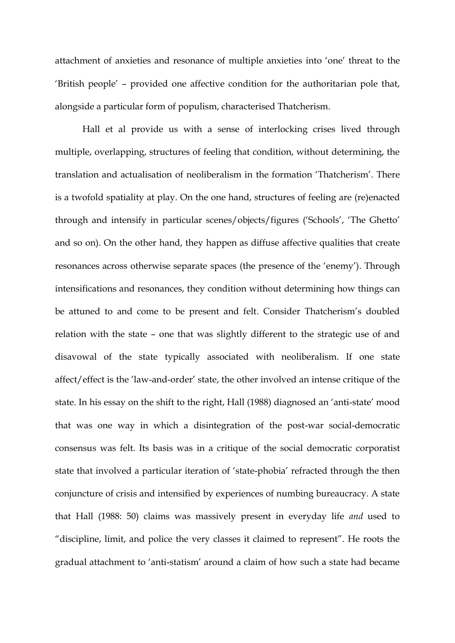attachment of anxieties and resonance of multiple anxieties into 'one' threat to the 'British people' – provided one affective condition for the authoritarian pole that, alongside a particular form of populism, characterised Thatcherism.

Hall et al provide us with a sense of interlocking crises lived through multiple, overlapping, structures of feeling that condition, without determining, the translation and actualisation of neoliberalism in the formation 'Thatcherism'. There is a twofold spatiality at play. On the one hand, structures of feeling are (re)enacted through and intensify in particular scenes/objects/figures ('Schools', 'The Ghetto' and so on). On the other hand, they happen as diffuse affective qualities that create resonances across otherwise separate spaces (the presence of the 'enemy'). Through intensifications and resonances, they condition without determining how things can be attuned to and come to be present and felt. Consider Thatcherism's doubled relation with the state – one that was slightly different to the strategic use of and disavowal of the state typically associated with neoliberalism. If one state affect/effect is the 'law-and-order' state, the other involved an intense critique of the state. In his essay on the shift to the right, Hall (1988) diagnosed an 'anti-state' mood that was one way in which a disintegration of the post-war social-democratic consensus was felt. Its basis was in a critique of the social democratic corporatist state that involved a particular iteration of 'state-phobia' refracted through the then conjuncture of crisis and intensified by experiences of numbing bureaucracy. A state that Hall (1988: 50) claims was massively present in everyday life *and* used to "discipline, limit, and police the very classes it claimed to represent". He roots the gradual attachment to 'anti-statism' around a claim of how such a state had became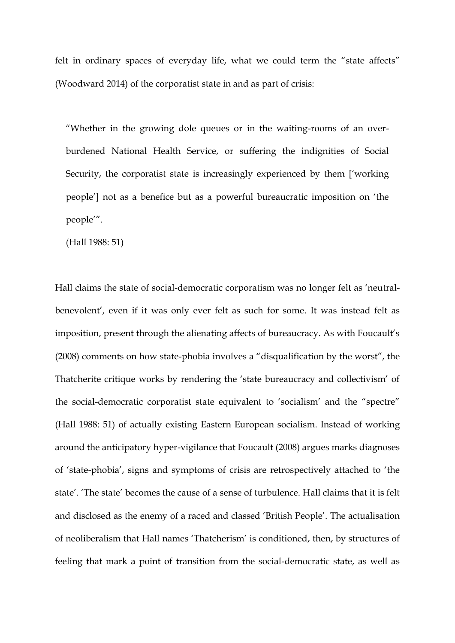felt in ordinary spaces of everyday life, what we could term the "state affects" (Woodward 2014) of the corporatist state in and as part of crisis:

"Whether in the growing dole queues or in the waiting-rooms of an overburdened National Health Service, or suffering the indignities of Social Security, the corporatist state is increasingly experienced by them ['working people'] not as a benefice but as a powerful bureaucratic imposition on 'the people'".

(Hall 1988: 51)

Hall claims the state of social-democratic corporatism was no longer felt as 'neutralbenevolent', even if it was only ever felt as such for some. It was instead felt as imposition, present through the alienating affects of bureaucracy. As with Foucault's (2008) comments on how state-phobia involves a "disqualification by the worst", the Thatcherite critique works by rendering the 'state bureaucracy and collectivism' of the social-democratic corporatist state equivalent to 'socialism' and the "spectre" (Hall 1988: 51) of actually existing Eastern European socialism. Instead of working around the anticipatory hyper-vigilance that Foucault (2008) argues marks diagnoses of 'state-phobia', signs and symptoms of crisis are retrospectively attached to 'the state'. 'The state' becomes the cause of a sense of turbulence. Hall claims that it is felt and disclosed as the enemy of a raced and classed 'British People'. The actualisation of neoliberalism that Hall names 'Thatcherism' is conditioned, then, by structures of feeling that mark a point of transition from the social-democratic state, as well as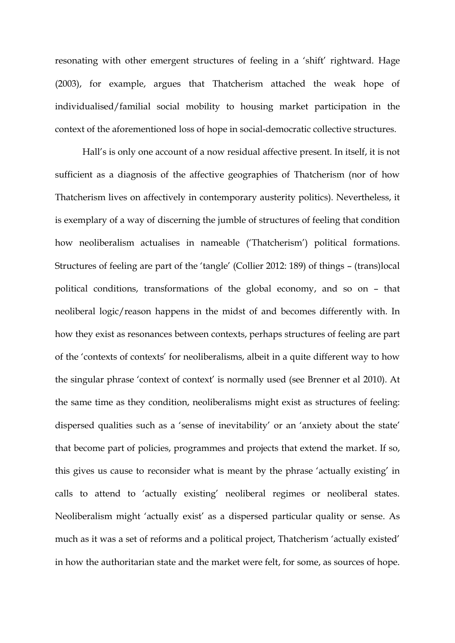resonating with other emergent structures of feeling in a 'shift' rightward. Hage (2003), for example, argues that Thatcherism attached the weak hope of individualised/familial social mobility to housing market participation in the context of the aforementioned loss of hope in social-democratic collective structures.

Hall's is only one account of a now residual affective present. In itself, it is not sufficient as a diagnosis of the affective geographies of Thatcherism (nor of how Thatcherism lives on affectively in contemporary austerity politics). Nevertheless, it is exemplary of a way of discerning the jumble of structures of feeling that condition how neoliberalism actualises in nameable ('Thatcherism') political formations. Structures of feeling are part of the 'tangle' (Collier 2012: 189) of things – (trans)local political conditions, transformations of the global economy, and so on – that neoliberal logic/reason happens in the midst of and becomes differently with. In how they exist as resonances between contexts, perhaps structures of feeling are part of the 'contexts of contexts' for neoliberalisms, albeit in a quite different way to how the singular phrase 'context of context' is normally used (see Brenner et al 2010). At the same time as they condition, neoliberalisms might exist as structures of feeling: dispersed qualities such as a 'sense of inevitability' or an 'anxiety about the state' that become part of policies, programmes and projects that extend the market. If so, this gives us cause to reconsider what is meant by the phrase 'actually existing' in calls to attend to 'actually existing' neoliberal regimes or neoliberal states. Neoliberalism might 'actually exist' as a dispersed particular quality or sense. As much as it was a set of reforms and a political project, Thatcherism 'actually existed' in how the authoritarian state and the market were felt, for some, as sources of hope.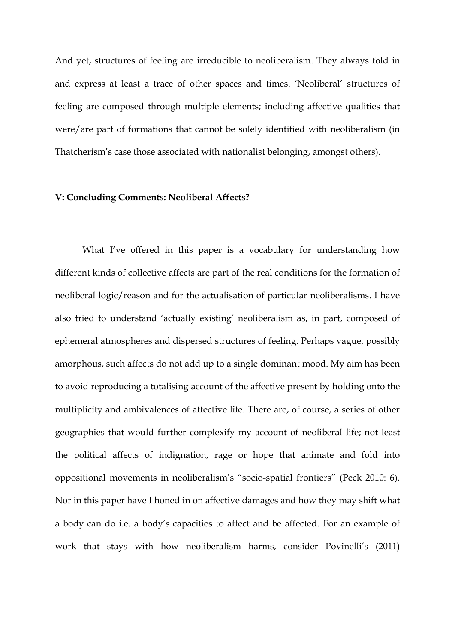And yet, structures of feeling are irreducible to neoliberalism. They always fold in and express at least a trace of other spaces and times. 'Neoliberal' structures of feeling are composed through multiple elements; including affective qualities that were/are part of formations that cannot be solely identified with neoliberalism (in Thatcherism's case those associated with nationalist belonging, amongst others).

#### **V: Concluding Comments: Neoliberal Affects?**

What I've offered in this paper is a vocabulary for understanding how different kinds of collective affects are part of the real conditions for the formation of neoliberal logic/reason and for the actualisation of particular neoliberalisms. I have also tried to understand 'actually existing' neoliberalism as, in part, composed of ephemeral atmospheres and dispersed structures of feeling. Perhaps vague, possibly amorphous, such affects do not add up to a single dominant mood. My aim has been to avoid reproducing a totalising account of the affective present by holding onto the multiplicity and ambivalences of affective life. There are, of course, a series of other geographies that would further complexify my account of neoliberal life; not least the political affects of indignation, rage or hope that animate and fold into oppositional movements in neoliberalism's "socio-spatial frontiers" (Peck 2010: 6). Nor in this paper have I honed in on affective damages and how they may shift what a body can do i.e. a body's capacities to affect and be affected. For an example of work that stays with how neoliberalism harms, consider Povinelli's (2011)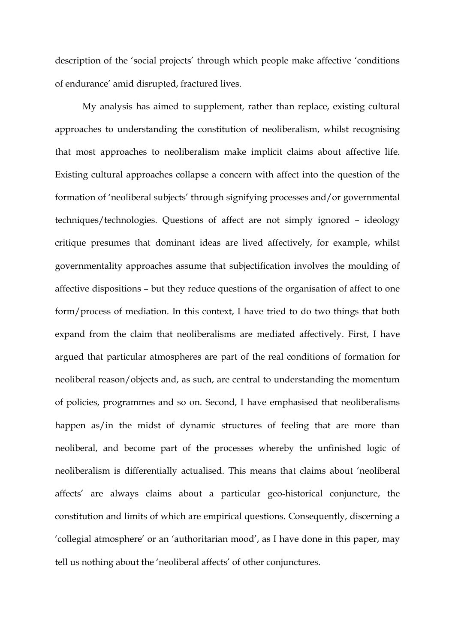description of the 'social projects' through which people make affective 'conditions of endurance' amid disrupted, fractured lives.

My analysis has aimed to supplement, rather than replace, existing cultural approaches to understanding the constitution of neoliberalism, whilst recognising that most approaches to neoliberalism make implicit claims about affective life. Existing cultural approaches collapse a concern with affect into the question of the formation of 'neoliberal subjects' through signifying processes and/or governmental techniques/technologies. Questions of affect are not simply ignored – ideology critique presumes that dominant ideas are lived affectively, for example, whilst governmentality approaches assume that subjectification involves the moulding of affective dispositions – but they reduce questions of the organisation of affect to one form/process of mediation. In this context, I have tried to do two things that both expand from the claim that neoliberalisms are mediated affectively. First, I have argued that particular atmospheres are part of the real conditions of formation for neoliberal reason/objects and, as such, are central to understanding the momentum of policies, programmes and so on. Second, I have emphasised that neoliberalisms happen as/in the midst of dynamic structures of feeling that are more than neoliberal, and become part of the processes whereby the unfinished logic of neoliberalism is differentially actualised. This means that claims about 'neoliberal affects' are always claims about a particular geo-historical conjuncture, the constitution and limits of which are empirical questions. Consequently, discerning a 'collegial atmosphere' or an 'authoritarian mood', as I have done in this paper, may tell us nothing about the 'neoliberal affects' of other conjunctures.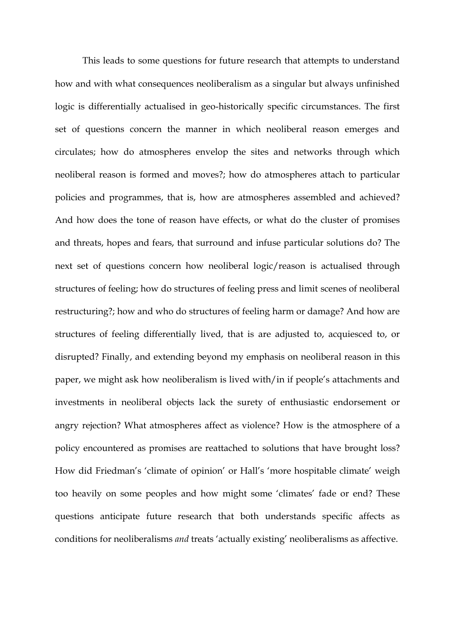This leads to some questions for future research that attempts to understand how and with what consequences neoliberalism as a singular but always unfinished logic is differentially actualised in geo-historically specific circumstances. The first set of questions concern the manner in which neoliberal reason emerges and circulates; how do atmospheres envelop the sites and networks through which neoliberal reason is formed and moves?; how do atmospheres attach to particular policies and programmes, that is, how are atmospheres assembled and achieved? And how does the tone of reason have effects, or what do the cluster of promises and threats, hopes and fears, that surround and infuse particular solutions do? The next set of questions concern how neoliberal logic/reason is actualised through structures of feeling; how do structures of feeling press and limit scenes of neoliberal restructuring?; how and who do structures of feeling harm or damage? And how are structures of feeling differentially lived, that is are adjusted to, acquiesced to, or disrupted? Finally, and extending beyond my emphasis on neoliberal reason in this paper, we might ask how neoliberalism is lived with/in if people's attachments and investments in neoliberal objects lack the surety of enthusiastic endorsement or angry rejection? What atmospheres affect as violence? How is the atmosphere of a policy encountered as promises are reattached to solutions that have brought loss? How did Friedman's 'climate of opinion' or Hall's 'more hospitable climate' weigh too heavily on some peoples and how might some 'climates' fade or end? These questions anticipate future research that both understands specific affects as conditions for neoliberalisms *and* treats 'actually existing' neoliberalisms as affective.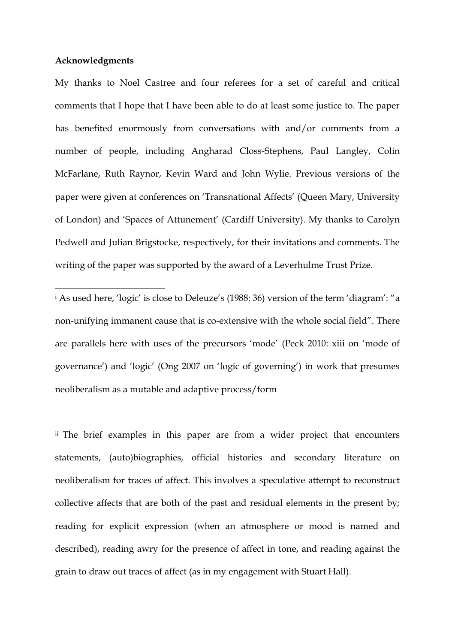#### **Acknowledgments**

**.** 

My thanks to Noel Castree and four referees for a set of careful and critical comments that I hope that I have been able to do at least some justice to. The paper has benefited enormously from conversations with and/or comments from a number of people, including Angharad Closs-Stephens, Paul Langley, Colin McFarlane, Ruth Raynor, Kevin Ward and John Wylie. Previous versions of the paper were given at conferences on 'Transnational Affects' (Queen Mary, University of London) and 'Spaces of Attunement' (Cardiff University). My thanks to Carolyn Pedwell and Julian Brigstocke, respectively, for their invitations and comments. The writing of the paper was supported by the award of a Leverhulme Trust Prize.

<sup>i</sup> As used here, 'logic' is close to Deleuze's (1988: 36) version of the term 'diagram': "a non-unifying immanent cause that is co-extensive with the whole social field". There are parallels here with uses of the precursors 'mode' (Peck 2010: xiii on 'mode of governance') and 'logic' (Ong 2007 on 'logic of governing') in work that presumes neoliberalism as a mutable and adaptive process/form

ii The brief examples in this paper are from a wider project that encounters statements, (auto)biographies, official histories and secondary literature on neoliberalism for traces of affect. This involves a speculative attempt to reconstruct collective affects that are both of the past and residual elements in the present by; reading for explicit expression (when an atmosphere or mood is named and described), reading awry for the presence of affect in tone, and reading against the grain to draw out traces of affect (as in my engagement with Stuart Hall).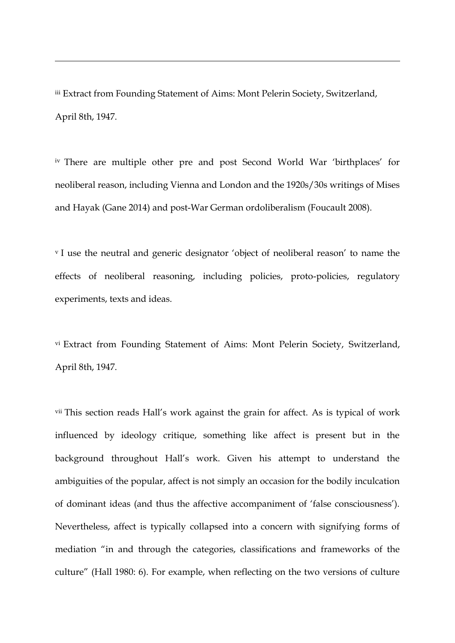iii Extract from Founding Statement of Aims: Mont Pelerin Society, Switzerland, April 8th, 1947.

1

iv There are multiple other pre and post Second World War 'birthplaces' for neoliberal reason, including Vienna and London and the 1920s/30s writings of Mises and Hayak (Gane 2014) and post-War German ordoliberalism (Foucault 2008).

<sup>v</sup> I use the neutral and generic designator 'object of neoliberal reason' to name the effects of neoliberal reasoning, including policies, proto-policies, regulatory experiments, texts and ideas.

vi Extract from Founding Statement of Aims: Mont Pelerin Society, Switzerland, April 8th, 1947.

vii This section reads Hall's work against the grain for affect. As is typical of work influenced by ideology critique, something like affect is present but in the background throughout Hall's work. Given his attempt to understand the ambiguities of the popular, affect is not simply an occasion for the bodily inculcation of dominant ideas (and thus the affective accompaniment of 'false consciousness'). Nevertheless, affect is typically collapsed into a concern with signifying forms of mediation "in and through the categories, classifications and frameworks of the culture" (Hall 1980: 6). For example, when reflecting on the two versions of culture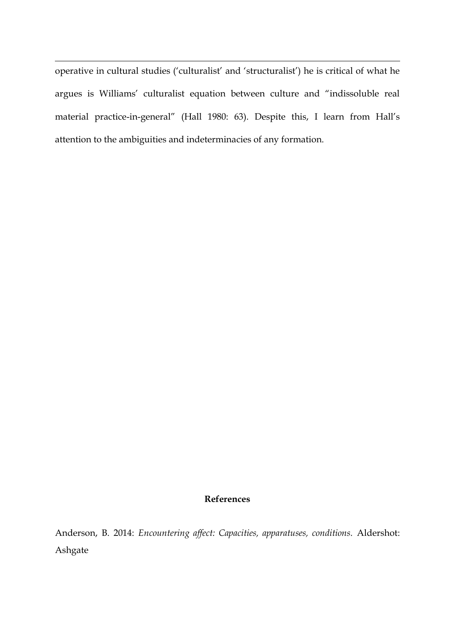operative in cultural studies ('culturalist' and 'structuralist') he is critical of what he argues is Williams' culturalist equation between culture and "indissoluble real material practice-in-general" (Hall 1980: 63). Despite this, I learn from Hall's attention to the ambiguities and indeterminacies of any formation.

1

## **References**

Anderson, B. 2014: *Encountering affect: Capacities, apparatuses, conditions.* Aldershot: Ashgate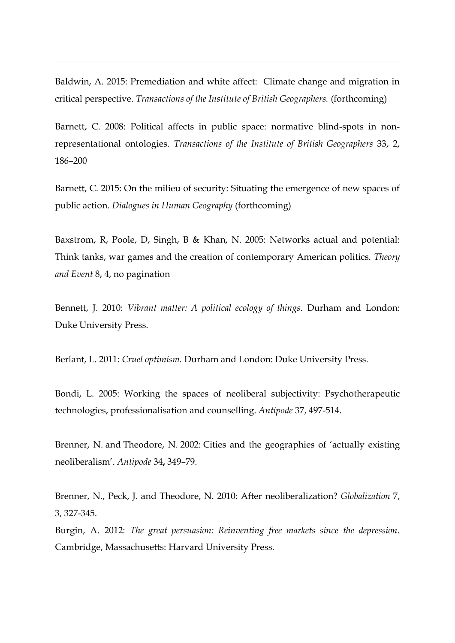Baldwin, A. 2015: Premediation and white affect: Climate change and migration in critical perspective. *Transactions of the Institute of British Geographers.* (forthcoming)

1

Barnett, C. 2008: Political affects in public space: normative blind-spots in nonrepresentational ontologies. *Transactions of the Institute of British Geographers* 33, 2, 186–200

Barnett, C. 2015: On the milieu of security: Situating the emergence of new spaces of public action. *Dialogues in Human Geography* (forthcoming)

Baxstrom, R, Poole, D, Singh, B & Khan, N. 2005: Networks actual and potential: Think tanks, war games and the creation of contemporary American politics. *Theory and Event* 8, 4, no pagination

Bennett, J. 2010: *Vibrant matter: A political ecology of things.* Durham and London: Duke University Press.

Berlant, L. 2011: *Cruel optimism.* Durham and London: Duke University Press.

Bondi, L. 2005: Working the spaces of neoliberal subjectivity: Psychotherapeutic technologies, professionalisation and counselling. *Antipode* 37, 497-514.

Brenner, N. and Theodore, N. 2002: Cities and the geographies of 'actually existing neoliberalism'. *Antipode* 34**,** 349–79.

Brenner, N., Peck, J. and Theodore, N. 2010: After neoliberalization? *Globalization* 7, 3, 327-345.

Burgin, A. 2012: *The great persuasion: Reinventing free markets since the depression.*  Cambridge, Massachusetts: Harvard University Press.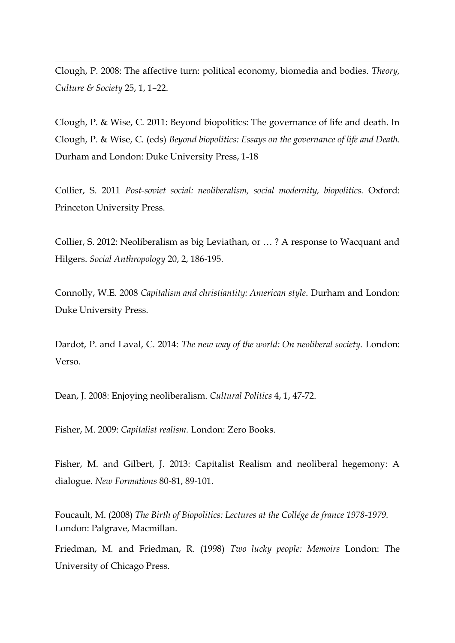Clough, P. 2008: The affective turn: political economy, biomedia and bodies. *Theory, Culture & Society* 25, 1, 1–22.

1

Clough, P. & Wise, C. 2011: Beyond biopolitics: The governance of life and death. In Clough, P. & Wise, C. (eds) *Beyond biopolitics: Essays on the governance of life and Death*. Durham and London: Duke University Press, 1-18

Collier, S. 2011 *Post-soviet social: neoliberalism, social modernity, biopolitics.* Oxford: Princeton University Press.

Collier, S. 2012: Neoliberalism as big Leviathan, or … ? A response to Wacquant and Hilgers. *Social Anthropology* 20, 2, 186-195.

Connolly, W.E. 2008 *Capitalism and christiantity: American style*. Durham and London: Duke University Press.

Dardot, P. and Laval, C. 2014: *The new way of the world: On neoliberal society.* London: Verso.

Dean, J. 2008: Enjoying neoliberalism. *Cultural Politics* 4, 1, 47-72.

Fisher, M. 2009: *Capitalist realism.* London: Zero Books.

Fisher, M. and Gilbert, J. 2013: Capitalist Realism and neoliberal hegemony: A dialogue. *New Formations* 80-81, 89-101.

Foucault, M. (2008) *The Birth of Biopolitics: Lectures at the Collége de france 1978-1979.*  London: Palgrave, Macmillan.

Friedman, M. and Friedman, R. (1998) *Two lucky people: Memoirs* London: The University of Chicago Press.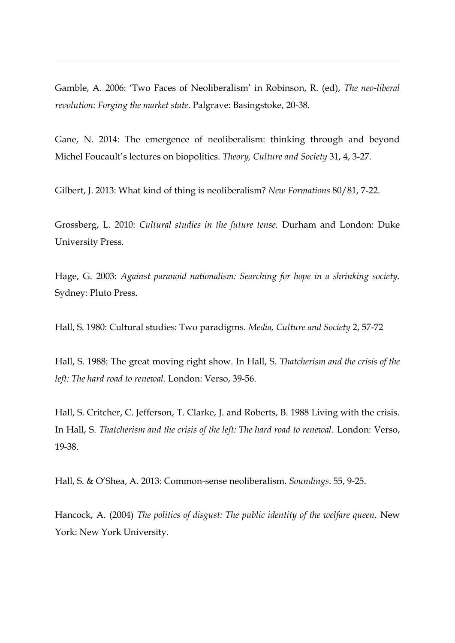Gamble, A. 2006: 'Two Faces of Neoliberalism' in Robinson, R. (ed), *The neo-liberal revolution: Forging the market state*. Palgrave: Basingstoke, 20-38.

1

Gane, N. 2014: The emergence of neoliberalism: thinking through and beyond Michel Foucault's lectures on biopolitics. *Theory, Culture and Society* 31, 4, 3-27.

Gilbert, J. 2013: What kind of thing is neoliberalism? *New Formations* 80/81, 7-22.

Grossberg, L. 2010: *Cultural studies in the future tense.* Durham and London: Duke University Press.

Hage, G. 2003: *Against paranoid nationalism: Searching for hope in a shrinking society.*  Sydney: Pluto Press.

Hall, S. 1980: Cultural studies: Two paradigms. *Media, Culture and Society* 2, 57-72

Hall, S. 1988: The great moving right show. In Hall, S. *Thatcherism and the crisis of the left: The hard road to renewal.* London: Verso, 39-56.

Hall, S. Critcher, C. Jefferson, T. Clarke, J. and Roberts, B. 1988 Living with the crisis. In Hall, S. *Thatcherism and the crisis of the left: The hard road to renewal*. London: Verso, 19-38.

Hall, S. & O'Shea, A. 2013: Common-sense neoliberalism. *Soundings*. 55, 9-25.

Hancock, A. (2004) *The politics of disgust: The public identity of the welfare queen.* New York: New York University.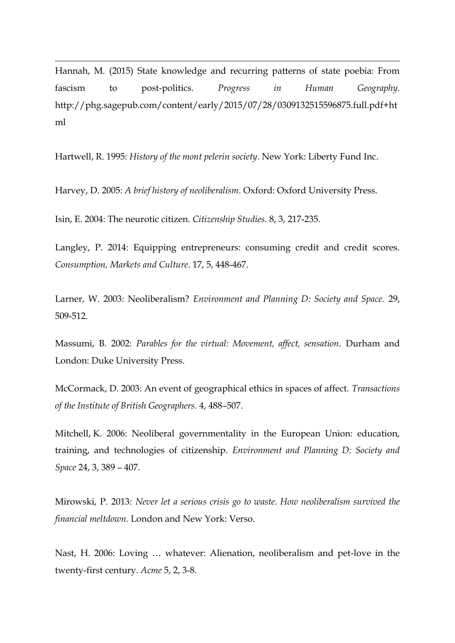Hannah, M. (2015) State knowledge and recurring patterns of state poebia: From fascism to post-politics. *Progress in Human Geography*. http://phg.sagepub.com/content/early/2015/07/28/0309132515596875.full.pdf+ht ml

Hartwell, R. 1995: *History of the mont pelerin society*. New York: Liberty Fund Inc.

Harvey, D. 2005: *A brief history of neoliberalism*. Oxford: Oxford University Press.

Isin, E. 2004: The neurotic citizen. *Citizenship Studies.* 8, 3, 217-235.

1

Langley, P. 2014: Equipping entrepreneurs: consuming credit and credit scores. *Consumption, Markets and Culture*. 17, 5, 448-467.

Larner, W. 2003: Neoliberalism? *Environment and Planning D: Society and Space.* 29, 509-512.

Massumi, B. 2002: *Parables for the virtual: Movement, affect, sensation*. Durham and London: Duke University Press.

McCormack, D. 2003: An event of geographical ethics in spaces of affect. *Transactions of the Institute of British Geographers.* 4, 488–507.

Mitchell, K. 2006: Neoliberal governmentality in the European Union: education, training, and technologies of citizenship. *Environment and Planning D: Society and Space* 24, 3, 389 – 407.

Mirowski, P. 2013: *Never let a serious crisis go to waste. How neoliberalism survived the financial meltdown.* London and New York: Verso.

Nast, H. 2006: Loving … whatever: Alienation, neoliberalism and pet-love in the twenty-first century. *Acme* 5, 2, 3-8.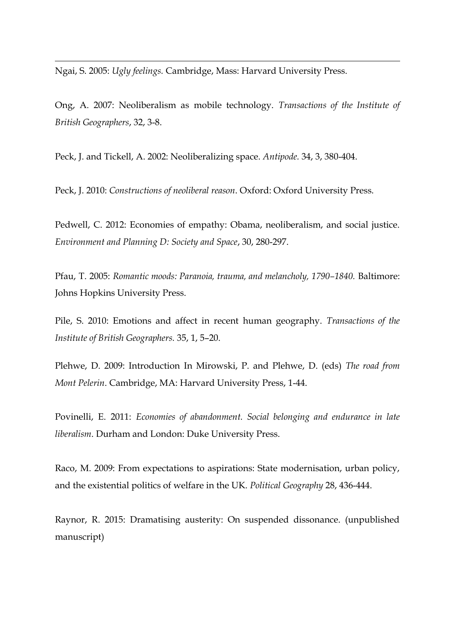Ngai, S. 2005: *Ugly feelings.* Cambridge, Mass: Harvard University Press.

1

Ong, A. 2007: Neoliberalism as mobile technology. *Transactions of the Institute of British Geographers*, 32, 3-8.

Peck, J. and Tickell, A. 2002: Neoliberalizing space. *Antipode.* 34, 3, 380-404.

Peck, J. 2010: *Constructions of neoliberal reason*. Oxford: Oxford University Press.

Pedwell, C. 2012: Economies of empathy: Obama, neoliberalism, and social justice. *Environment and Planning D: Society and Space*, 30, 280-297.

Pfau, T. 2005: *Romantic moods: Paranoia, trauma, and melancholy, 1790–1840.* Baltimore: Johns Hopkins University Press.

Pile, S. 2010: Emotions and affect in recent human geography. *Transactions of the Institute of British Geographers.* 35, 1, 5–20.

Plehwe, D. 2009: Introduction In Mirowski, P. and Plehwe, D. (eds) *The road from Mont Pelerin*. Cambridge, MA: Harvard University Press, 1-44.

Povinelli, E. 2011: *Economies of abandonment. Social belonging and endurance in late liberalism*. Durham and London: Duke University Press.

Raco, M. 2009: From expectations to aspirations: State modernisation, urban policy, and the existential politics of welfare in the UK. *Political Geography* 28, 436-444.

Raynor, R. 2015: Dramatising austerity: On suspended dissonance. (unpublished manuscript)